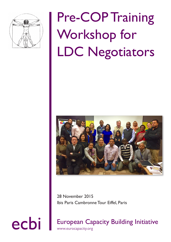

# Pre-COP Training Workshop for LDC Negotiators



28 November 2015 Ibis Paris Cambronne Tour Eiffel, Paris

ecbi European Capacity Building Initiative www.eurocapacity.org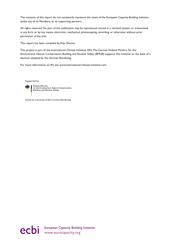The contents of this report do not necessarily represent the views of the European Capacity Building Initiative (ecbi), any of its Members, or its supporting partners.

All rights reserved. No part of this publication may be reproduced, stored in a retrieval system, or transmitted in any form or by any means, electronic, mechanical, photocopying, recording, or otherwise, without prior permission of the ecbi.

This report has been compiled by Anju Sharma.

This project is part of the International Climate Initiative (IKI). The German Federal Ministry for the Environment, Nature Conservation, Building and Nuclear Safety (BMUB) supports this initiative on the basis of a decision adopted by the German Bundestag.

For more information on IKI, see www.international-climate-initiative.com

Supported by:



Federal Ministry<br>for the Environment, Nature Conservation, **Building and Nuclear Safety** 

based on a decision of the German Bundestag

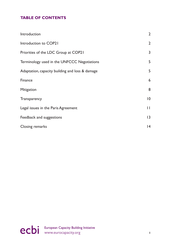### **TABLE OF CONTENTS**

| Introduction                                    | $\overline{2}$ |
|-------------------------------------------------|----------------|
| Introduction to COP21                           | $\overline{2}$ |
| Priorities of the LDC Group at COP21            | 3              |
| Terminology used in the UNFCCC Negotiations     | 5              |
| Adaptation, capacity building and loss & damage | 5              |
| <b>Finance</b>                                  | 6              |
| <b>Mitigation</b>                               | 8              |
| Transparency                                    | 10             |
| Legal issues in the Paris Agreement             | $\mathbf{I}$   |
| Feedback and suggestions                        | 13             |
| Closing remarks                                 | 4              |

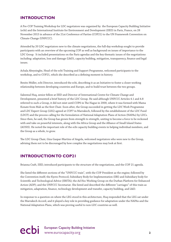#### <span id="page-3-0"></span>**INTRODUCTION**

A Pre-COP Training Workshop for LDC negotiators was organised by the European Capacity Building Initiative (ecbi) and the International Institute for Environment and Development (IIED) in Paris, France, on 28 November 2015 in advance of the 21st Conference of Parties (COP21) to the UN Framework Convention on Climate Change (UNFCCC).

Attended by 20 LDC negotiators new to the climate negotiations, the full-day workshop sought to provide participants with an overview of the upcoming COP as well as background on issues of importance to the LDC Group. It included presentations on the Paris agendas and the key thematic issues of the negotiations including: adaptation, loss and damage (L&D), capacity building, mitigation, transparency, finance and legal issues.

Achala Abeysinghe, Head of the ecbi Training and Support Programme, welcomed participants to the workshop, and to COP21, which she described as a defining moment in history.

Benito Müller, ecbi Director, introduced the ecbi, describing it as an Initiative to foster a closer working relationship between developing countries and Europe, and to build trust between the two groups.

Saleemul Huq, senior fellow at IIED and Director of International Centre for Climate Change and Development, presented a brief history of the LDC Group. He said although UNFCCC Articles 4.1 and 4.8 referred to such a Group, it did not exist until COP6 in The Hague in 2000, where it was formed with Mama Konate from Mali as the first Chair. Soon after, the Group succeeded in getting the LDC Work Programme and LDC Expert Group (LEG) agreed at COP7 in Marrakech, followed by the establishment of the LDC Fund (LDCF) and the process calling for the formulation of National Adaptation Plans of Action (NAPAs) by LDCs. Since then, he said, the Group has grown from strength to strength, uniting to become a force to be reckoned with and take on powerful interests, along with the Africa Group and the Alliance of Small Island States (AOSIS). He noted the important role of the ecbi capacity building events in helping individual members, and the Group as a whole, to grow.

The LDC Group Chair, Giza Gaspar-Martins of Angola, welcomed negotiators who were new to the Group, advising them not to be discouraged by how complex the negotiations may look at first.

#### **INTRODUCTION TO COP21**

Brianna Craft, IIED, introduced participants to the structure of the negotiations, and the COP 21 agenda.

She listed the different sections of the "UNFCCC train", with the COP President as the engine; followed by the Convention itself; the Kyoto Protocol; Subsidiary Body for Implementation (SBI) and Subsidiary body for Scientific and Technological Advice (SBSTA); the Ad Hoc Working Group on the Durban Platform for Enhanced Action (ADP); and the UNFCCC Secretariat. She listed and described the different "carriages" of this train as mitigation, adaptation, finance, technology development and transfer, capacity building, and L&D.

In response to a question on where the LEG stood in this architecture, Huq responded that the LEG sat under the Marrakech Accord, and it played a key role in providing guidance for adaptation under the NAPAs and the National Adaptation Plans, which was proving useful to non-LDC countries as well.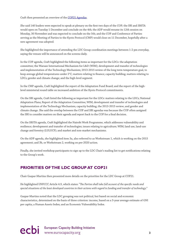<span id="page-4-0"></span>Craft then presented an overview of the [COP21 Agendas.](http://unfccc.int/2860.php, with the live meetings schedule available at https://grandreserva.unfccc.int/grandreserva/public/schedule?conferenceid=66)

She said 140 leaders were expected to speak at plenary on the first two days of the COP; the SBI and SBSTA would open on Tuesday 1 December and conclude on the 4th; the ADP would resume its 12th session on Monday, 30 November and was expected to conclude on the 5th; and the COP and Conference of Parties serving as the Meeting of Parties to the Kyoto Protocol (CMP) would close on 11 December, hopefully after a new agreement was adopted.

She highlighted the importance of attending the LDC Group coordination meetings between 1-2 pm everyday, saying the venues will be announced on the screens daily.

In the COP agenda, Craft highlighted the following items as important for the LDCs: the adaptation committee; the Warsaw International Mechanism for L&D (WIM); development and transfer of technologies and implementation of the Technology Mechanism; 2013-2015 review of the long term temperature goal, to keep average global temperatures under 2°C; matters relating to finance; capacity building; matters relating to LDCs; gender and climate change; and the high-level segment.

In the CMP agenda, Craft highlighted the report of the Adaptation Fund Board; and the report of the highlevel ministerial round table on increased ambition of the Kyoto Protocol commitments.

On the SBI agenda, Craft listed the following as important for the LDCs: matters relating to the LDCs; National Adaptation Plans; Report of the Adaptation Committee; WIM; development and transfer of technologies and implementation of the Technology Mechanism; capacity building; the 2013-2015 review; and gender and climate change. She said the overlap between the COP and SBI agendas was because the COP often assigned the SBI to consider matters on their agenda and report back to the COP for a final decision.

On the SBSTA agenda, Craft highlighted the Nairobi Work Programme, which addresses vulnerability and resilience; development and transfer of technologies; issues relating to agriculture; WIM; land use, land-use change and forestry (LULUCF); and market and non-market mechanisms.

On the ADP agenda, she highlighted item 3a, also referred to as Workstream 1, which is working on the 2015 agreement; and 3b, or Workstream 2, working on pre-2020 action.

Finally, she invited workshop participants to sign up to the LDC Chair's mailing list to get notifications relating to the Group's work.

#### **PRIORITIES OF THE LDC GROUP AT COP21**

Chair Gaspar-Martins then presented more details on the priorities for the LDC Group at COP21.

He highlighted UNFCCC Article 4.9, which states: "*The Parties shall take full account of the specific needs and special situations of the least developed countries in their actions with regard to funding and transfer of technology*."

Gaspar-Martins noted that the LDC grouping was not political, but based on social and economic characteristics, determined on the basis of three criterion: income, based on a 3-year average estimate of GNI per capita; a Human Assets Index; and an Economic Vulnerability Index.

ecbi European Capacity Building Initiative<br>
3<br>
<sup>3</sup>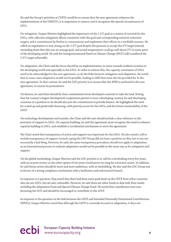He said the Group's priorities at COP21 would be to ensure that the new agreement enhances the implementation of the UNFCCC; it is responsive to science; and it recognizes the special circumstances of LDCs.

On mitigation, Gaspar-Martins highlighted the importance of the 1.5°C goal as a matter of survival for the LDCs, with collective mitigation efforts consistent with this goal and corresponding emission reduction targets; and a commitment by Parties to communicate and implement their efforts in a verifiable manner. He called on negotiators to stay strong on the 1.5°C goal despite the pressure to accept the 2°C target instead, reminding them that this was an average goal, and actual temperatures could go well above 2°C in some parts of the developing world. He said the Intergovernmental Panel on Climate Change (IPCC) still considered the 1.5°C target achievable.

On adaptation, the Chair said the focus should be on implementation, to move towards resilient societies in the developing world and especially in the LDCs. In order to achieve this, the capacity constraints of LDCs need to be acknowledged in the new agreement, as do the links between mitigation and adaptation. He noted that in some cases adaptation would not be possible, leading to L&D that must also be provided for in the new agreement. In that context, he said the LDC priority is to ensure that the WIM is anchored in the new agreement, to ensure its permanence.

On finance, he said there should be clear commitments from developed countries to take the lead. Noting that his country's largest development cooperation partner is now a developing country, he said developing countries in a position to do should also join the commitment to provide finance. He highlighted the need for scaled up and predictable financing, with priority access for the LDCs; and the future sustainability of the LDCF.

On technology development and transfer, the Chair said the text should include a clear reference to the provision of support to LDCs. On capacity building, he said the agreement must recognize the need to enhance capacity building in LDCs, and establish a coordination mechanism to serve the agreement.

The Chair noted that transparency of action and support was important for the LDCs. He also noted a call to include transparency of support *received*, saying the LDC Group did not have a position on this, but it was not necessarily a bad thing. However, he said, the same transparency procedures should not apply to adaptation, as an international process to evaluate adaptation would not be possible in the same way as for mitigation and support.

On the global stocktaking, Gaspar-Martins said the LDC position is to call for a stocktaking every five years, with an *ex poste* review, as the other option of ten years would prove too long for corrective action. In addition, he said future action should be more and more ambitious, with no backsliding. He also said the LDC Group was in favour of a strong compliance mechanism with a facilitative and enforcement branch.

In response to a question, Huq noted that there had been some push-back on the LDCF from other countries who are not LDCs, but are also vulnerable. However, he said there are other funds to deal with their needs, including the Adaptation Fund and Special Climate Change Fund. He noted that contributors were now favouring the GCF, and should be encouraged to contribute to the LDCF.

In response to the question on the link between the LDCF and Intended Nationally Determined Contributions (INDCs), Gaspar-Martins noted that although the LDCF is currently focused on adaptation, it does not

# ecbi European Capacity Building Initiative<br>
4<br> **4**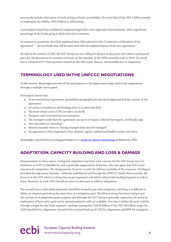<span id="page-6-0"></span>necessarily exclude other areas of work as long as funds are available. He noted that of the US\$ 5 billion needed to implement the NAPAs, US\$ 4 billion is still missing.

A participant noted that multilateral implementing bodies were expensive intermediaries, with a significant percentage of the funds going to them instead of countries.

In response to questions, the Chair explained that CMA referred to the "Conference of Members of the Agreement" – the new body that will be entrusted with the implementation of the new agreement.

He said in the context of L&D, the LDC Group was not calling for finance at this point, but rather a permanent place for the discussions to continue in future, as the mandate of the WIM currently ends in 2016. He noted that a common G77/ China position existed on the L&D issue, finance, and possibly also on adaptation.

#### **TERMINOLOGY USED IN THE UNFCCC NEGOTIATIONS**

In this session, Abeysinghe introduced the participants to the legal terminology used in the negotiations through a multiple-choice game.

Participants learnt that:

- In an international agreement, preambular paragraphs provide the background and the context of the agreement.
- An action is mandatory and binding when it is used with *shall*.
- The most robust action COP can take is to *decide*.
- *Recognize* and *recommend* are not synonyms.
- The strongest words that the agreement can use is to require, followed by request, and finally urge.
- *Inter alia* refers to "including".
- *Mutatis mutandis* refers to "having changed what must be changed".
- An agreement is first negotiated, then adopted, signed, ratified and finally it enters into force.

Abeysinghe concluded by pointing participants to a [guide on climate terminology](http://pubs.iied.org/10148IIED.html?c=climate) published by IIED.

#### **ADAPTATION, CAPACITY BUILDING AND LOSS & DAMAGE**

Huq presented on these topics, noting that adaptation has been a key concern for the LDC Group since its formation at COP7 in Marakkech, and is generally supported by all parties, who also agree that LDCs need resources for adaptation. The disagreement, however, is with the delivery modality of the resources. Funding is provided through many channels – bilateral, multilateral and through the UNFCCC funds. More recently, the focus is on the GCF, which is taking time to get organized, and which will provide funding in grants as well as loans. However, he said, LDCs should not have to take loans to address adaptation.

The second issue is that while adaptation should be treated at par with mitigation, said Huq, it is difficult to define an adaption goal along the same lines as a mitigation goal. The African Group has been trying to get the concept of an adaptation goal accepted, and although the LDC Group is generally supportive, he noted an explanation of how such a goal can be operationalized is still not available. One way to define the goal could be through a target for the funds required – perhaps stating that US\$ 50 billion of the US\$ 100 billion target for 2020 should be for adaptation, instead of the current break up of 14% for adaptation, and 86% for mitigation.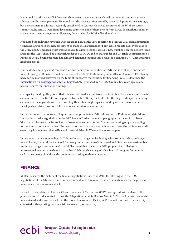<span id="page-7-0"></span>Huq noted that the issue of L&D was much more controversial, as developed countries do not want to even address it in the new agreement. He noted that the issue was first raised by the AOSIS group many years ago, but a mechanism to address it was only established in Warsaw. Of the 20 members of the WIM executive committee, he said 10 were from developing countries, and of these 5 were from LDCs. The mechanism has 9 areas under its work programme. However, the mandate for WIM will end in 2016.

Huq noted the following key goals with regard to L&D at the Paris meeting: to separate L&D from adaptation; to include language in the new agreement to make WIM a permanent body, which reports back every year to the CMA; and to emphasize that migration due to climate change, which is now number 6 on the list of 9 focus areas for the WIM, should be dealt with under the UNFCCC and not just under the UN High Commissioner on Refugees. He said some progress had already been made towards these goals, as a common G77/China position had been agreed.

Huq said while talking about compensation and liability in the context of L&D was still taboo, "innovative" ways of raising L&D finance could be discussed. The UNFCCC's Standing Committee on Finance (SCF) already had a forum planned next year on the topic of innovative mechanisms for financing L&D. He described the [International Air Passenger Adaptation Levy](http://www.eurocapacity.org/downloads/ecbi_Brief_-_IAPAL_13_Q&As.pdf) (IAPAL), proposed by the LDC Group a few years ago, as one possible source for innovative funding.

On capacity building, Huq noted that this was not usually an controversial topic, but there was a controversial element in Paris: the G77/China, supported by the LDC Group, had called for the dispersed capacity building elements in the negotiations to be drawn together into a single capacity building mechanism or committee. Developed countries, however, felt there was no need for a new entity.

In the discussion that followed, Huq said an attempt to define L&D had resulted in 12 different definitions. He also described a negotiation on the L&D issue in Durban, where 14 paragraphs on the topic has been "distributed" between the Nairobi Work Programme and Adaptation Committee, leaving only one – calling for the international mechanism. The negotiations on this one paragraph held up the entire conference, until eventually it was agreed that WIM would be established in Warsaw the following year.

In response to a question on how L&D from climate change can be distinguished from non-climate change related losses, Huq said the increased frequency and magnitude of climate-related disasters was attributable to climate change, as was sea level rise. Müller noted that the initial AOSIS proposal had called for an international insurance mechanism to address L&D, which was a good idea, but had not gone far because it said that countries should pay the premiums according to their emissions.

#### **FINANCE**

Müller presented the history of the finance negotiations under the UNFCCC, starting with the 1992 negotiations at the UN Conference on Environment and Development, where a mechanism for the provision of financial mechanism was established.

He said five years later, in Kyoto, a Clean Development Mechanism (CDM) was agreed, with a share of the proceeds from CDM allocated to form the Adaptation Fund. In Buenos Aires in 1998, the financial mechanism was reviewed and it was decided that the Global Environment Facility (GEF) would continue to be *an* entity entrusted with operating the financial mechanism (not *the* entity).

ecbi European Capacity Building Initiative **6**<br> **example 20** intervention of the www.eurocapacity.org **6**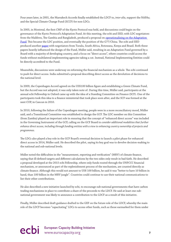Four years later, in 2001, the Marrakech Accords finally established the LDCF to, *inter alia*, support the NAPAs; and the Special Climate Change Fund (SCCF) for non-LDCs.

In 2005, in Montreal, the first CMP of the Kyoto Protocol was held, and discussions could begin on the governance of the Kyoto Protocol's Adaptation Fund. At this meeting, the ecbi and IIED, with LDC negotiators from the Maldives, The Gambia and Bangladesh, produced a proposal on operationalizing on the Adaptation [Fund](http://www.eurocapacity.org/downloads/11061IIED.pdf). This became the LDC position, and eventually the position of the G77/China. The ecbi and IIED produced another [paper](http://www.eurocapacity.org/downloads/On_the_road_to_Bali.pdf) with negotiators from Tuvalu, South Africa, Botswana, Kenya and Brazil. Both these papers heavily influenced the design of the Fund, Müller said, resulting in an Adaptation Fund governed by a Board with a majority of developing country, and a focus on "direct access", where countries could access the funds without multilateral implementing agencies taking a cut. Instead, National Implementing Entities could be directly accredited to the Fund.

Meanwhile, discussions were underway on reforming the financial mechanism as a whole. The ecbi continued to push for direct access. India submitted a proposal describing direct access as the devolution of decisions to the national level.

In 2009, the Copenhagen Accord agreed on the US\$100 billion figure and establishing a Green Climate Fund, but the Accord was not adopted, it was only taken note of. During this time, Müller said, participants at the annual ecbi Fellowship in Oxford came up with the idea of a Standing Committee on Finance (SCF). One of the participants took this idea to a finance ministerial that took place soon after, and the SCF was formed at the next COP, in Cancun in 2010.

In 2010, following the failure of the Copenhagen meeting, people were in a more reconciliatory mood, Müller said, and a Transitional Committee was established to design the GCF. The LDC member on this Committee (from Zambia) played an important role in ensuring that the concept of "enhanced direct access" was included in the Governing Instrument of the GCF, calling on the GCF Board to *consider additional modalities that further enhance direct access, including through funding entities with a view to enhancing country ownership of projects and programmes*.

The LDCs also played a key role in the GCF Board's eventual decision to launch a pilot phase for enhanced direct access in 2014, Müller said. He described the pilot, saying its key goal was to devolve decision-making to the national and sub-national levels.

Müller noted the difficulties in the "measurement, reporting and verification" (MRV) of climate finance, saying that ill-defined targets and different calculations by the two sides only result in bad faith. He described a proposal developed at the 2015 ecbi Fellowship, where only funds routed through the UNFCCC financial mechanism, or announced as part of the replenishment process of the mechanism, are counted directly as climate finance. Although this would not amount to US\$ 100 billion, he said it was "better to have 10 billion in hand, than 100 billion in the MRV jungle". Countries could continue to use their national communications to list their other contributions.

He also described a new initiative launched by ecbi, to encourage sub-national governments that have carbon trading mechanisms in place to contribute a share of the proceeds to the LDCF. He said at least one subnational government was likely to announce a contribution to the LDCF as a result of this initiative.

Finally, Müller described draft guidance drafted to the GEF on the future role of the LDCF, whereby the main role of the LDCF becomes "capacitating" LDCs to access other funds, such as those earmarked for them under

# ecbi European Capacity Building Initiative<br> **PCDi** www.eurocapacity.org **7**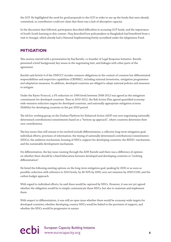<span id="page-9-0"></span>the GCF. He highlighted the need for good proposals to the GCF in order to use up the funds that were already committed, so contributors could not claim that there was a lack of absorptive capacity.

In the discussion that followed, participants described difficulties in accessing GCF funds, and the importance of South-South learning in this context. Huq described how policymakers in Bangladesh had benefitted from a visit to Senegal, which already had a National Implementing Entity accredited under the Adaptation Fund.

#### **MITIGATION**

This session started with a presentation by Raj Bavishi, co-founder of Legal Response Initiative. Bavishi presented a brief background; key issues in the negotiating text; and linkages with other parts of the agreement.

Bavishi said Article 4 of the UNFCCC incudes common obligations in the context of common but differentiated responsibilities and respective capabilities (CBDRRC), including national inventories, mitigation programmes and adaptation measures. In addition, developed countries are obliged to adopt national policies and measures to mitigate.

Under the Kyoto Protocol, a 5% reduction on 1990 levels between 2008-2012 was agreed as the mitigation commitment for developed countries. Then in 2010-2012, the Bali Action Plan agreed quantified economywide emission reduction targets for developed countries, and nationally appropriate mitigation actions (NAMAs) for developing countries in the pre-2020 period.

The Ad hoc working group on the Durban Platform for Enhanced Action (ADP) was now negotiating nationally determined contributions/commitments based on a "bottom up approach", where countries determine their own contributions.

The key issues that still remain to be resolved include differentiation; a collective long-term mitigation goal; individual efforts; provision of information; the timing of nationally determined contributions/commitments (NDCs); the ambition mechanism; housing of NDCs; support for developing countries; the REDD+ mechanism; and the sustainable development mechanism.

On differentiation, the key issue running through the ADP, Bavishi said there was a difference of opinion on whether there should be a fixed bifurcation between developed and developing countries or "evolving differentiation".

He listed the following existing options on the long-term mitigation goal: peaking by 2030 or as soon as possible; reduction with reference to 2010 levels, by 40-50% by 2050; zero net emission by 2050/2100; and the carbon budget approach.

With regard to individual efforts, he said these would be captured by NDCs. However, it was not yet agreed whether the obligation would be to simply communicate these NDCs, but also to maintain and implement them.

With respect to differentiation, it was still an open issue whether there would be economy-wide targets for developed countries; whether developing country NDCs would be linked to the provision of support; and whether the NDCs would be progressive in nature.

# ecbi European Capacity Building Initiative<br>
8<sup>8</sup>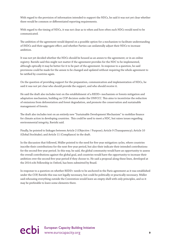With regard to the provision of information intended to support the NDCs, he said it was not yet clear whether there would be common or differentiated reporting requirements.

With regard to the timing of NDCs, it was not clear as to when and how often such NDCs would need to be communicated.

The ambition of the agreement would depend on a possible option for a mechanism to facilitate understanding of INDCs and their aggregate effect; and whether Parties can unilaterally adjust their NDCs to increase ambition.

It was not yet decided whether the NDCs should be housed as an annex to the agreement; or in an online registry. Bavishi said this might not matter if the agreement provides for the NDC to be implemented, although optically it may be better for it to be part of the agreement. In response to a question, he said provisions could be made for the annex to be changed and updated without requiring the whole agreement to be ratified by countries again.

On the question of providing support for the preparation, communication and implementation of NDCs, he said it was not yet clear who should provide the support, and who should receive it.

He said the draft also includes text on the establishment of a REDD+ mechanism or forests mitigation and adaptation mechanism, building on COP decision under the UNFCCC. This aims to incentivize the reduction of emissions from deforestation and forest degradation, and promote the conservation and sustainable management of forests.

The draft also includes text on an entirely new "Sustainable Development Mechanism" to mobilize finance for climate action in developing countries. This could be used to meet a NDC, but raises issues regarding environmental integrity, Bavishi said.

Finally, he pointed to linkages between Article 2 (Objective / Purpose); Article 9 (Transparency); Article 10 (Global Stocktake); and Article 11 (Compliance) in the draft.

In the discussion that followed, Müller pointed to the need for five-year mitigation cycles, where countries inscribe their contributions for the next five-year period, but also their indicate their intended contributions for the second five-year period. In this way, he said, the global community would have an opportunity to assess the overall contributions against the global goal, and countries would have the opportunity to increase their ambition over the second five-year period if they choose to. He said a proposal along these lines, developed at the 2014 ecbi Fellowship in Oxford, has been submitted by Brazil.

In response to a question on whether REDD+ needs to be anchored in the Paris agreement as it was established under the COP, Bavishi this was not legally necessary, but could be politically or practically necessary. Müller said rehousing everything outside the Convention would leave an empty shell with only principles, and so it may be preferable to leave some elements there.

# ecbi European Capacity Building Initiative<br>
9<br>
9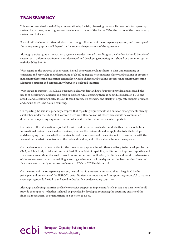#### <span id="page-11-0"></span>**TRANSPARENCY**

This session was also kicked off by a presentation by Bavishi, discussing the establishment of a transparency system; its purpose; reporting; review; development of modalities by the CMA; the nature of the transparency system; and linkages.

Bavishi said the issue of differentiation runs through all aspects of the transparency system; and the scope of the transparency system will depend on the substantive provisions of the agreement.

Although parties agree a transparency system is needed, he said they disagree on whether it should be a tiered system, with different requirements for developed and developing countries; or it should be a common system with flexibility built in.

With regard to the purpose of the system, he said the system could facilitate: a clear understanding of emissions and removals; an understanding of global aggregate net emissions; clarity and tracking of progress made in implementing mitigation actions; knowledge-sharing and tracking progress made in implementing adaptation actions; and comparability between developed countries.

With regard to support, it could also promote a clear understanding of support provided and received; the needs of developing countries; and gaps in support; while ensuring there is no undue burden on LDCs and Small Island Developing States (SIDS). It could provide an overview and clarity of aggregate support provided, and ensure there is no double-counting.

On reporting, he said it is generally accepted that reporting requirements will build on arrangements already established under the UNFCCC. However, there are differences on whether there should be common or differentiated reporting requirements; and what sort of information needs to be reported.

On review of the information reported, he said the differences revolved around whether there should be an international review or national self-reviews; whether the reviews should be applicable to both developed and developing countries; whether the structure of the review should be carried out in consultation with the relevant party; what the outcome of the review should be; and if there should be any consequences.

On the development of modalities for the transparency system, he said these are likely to be developed by the CMA, which is likely to take into account flexibility in light of capability; facilitation of improved reporting and transparency over time; the need to avoid undue burden and duplication; facilitative and non-intrusive nature of the review; ensuring no back-sliding; ensuring environmental integrity and no double-counting. He noted that there was currently no express reference to LDCs or SIDS in this regard.

On the nature of the transparency system, he said that it is currently proposed that it be guided by the principles and provisions of the UNFCCC; be facilitative, non-intrusive and non-punitive; respectful to national sovereignty; provide flexibility and avoid undue burden on developing countries.

Although developing countries are likely to receive support to implement Article 9, it is not clear who should provide the support – whether it should be provided by developed countries; the operating entities of the financial mechanism; or organisations in a position to do so.

ecbi European Capacity Building Initiative www.eurocapacity.org 10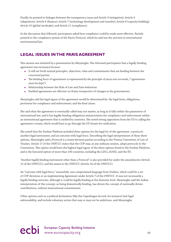<span id="page-12-0"></span>Finally, he pointed to linkages between the transparency issue and Article 3 (mitigation); Article 4 (adaptation); Article 6 (finance); Article 7 (technology development and transfer); Article 8 (capacity building); Article 10 (global stocktake); and Article 11 (compliance).

In the discussion that followed, participants asked how compliance could be made more effective. Bavishi pointed to the compliance system of the Kyoto Protocol, which he said was the strictest in international environmental law.

#### **LEGAL ISSUES IN THE PARIS AGREEMENT**

This session was initiated by a presentation by Abeysinghe. She informed participants that a legally-binding agreement was necessary because:

- It will set forth mutual principles, objectives, rules and commitments that are binding between the concerned parties.
- The binding force of agreements is represented by the principle of *pacta sunt servanda*, ("agreements must be kept").
- Relationship between the Rule of Law and State behaviour.
- Ratified agreements are effective on States irrespective of changes in the governments.

Abeysinghe said the legal rigour of the agreement would be determined by: the legal form; obligations; provisions for compliance and enforcement; and the final clause.

She said what the agreement is eventually called may not matter, as long as it falls within the parameters of international law, and it has legally-binding obligations and provisions for compliance and enforcement within an international agreement that is ratified by countries. She noted strong opposition from the US to calling the agreement a treaty, which would have to go through the US Senate for ratification.

She noted that the Durban Platform included three options for the legal for of the agreement: a protocol; another legal instrument; and an outcome with legal force. Describing the legal interpretation of these three options, Abeysinghe said a Protocol is a treaty between parties according to the Vienna Convention of Law of Treaties. Article 17 of the UNFCCC states that the COP may, at any ordinary session, adopt protocols to the Convention. This option would have the highest legal rigour of the three options listed in the Durban Platform, and is the favoured option of more than 100 countries, including the LDCs, AOSIS, and the EU.

"Another legally binding instrument other than a Protocol" is also provided for under the amendments (Article 15 of the UNFCCC); and the annex to the UNFCCC (Article 16 of the UNFCCC).

An "outcome with legal force," meanwhile, was compromised language from Durban, which could be a set of COP decisions or an implementing Agreement under Article 7 of the UNFCCC. It was not necessarily a legally binding outcome, although it could be legally binding at the domestic level. Abeysinghe said the Indian interpretation of this concept, as being domestically binding, has driven the concept of nationally driven contributions, without international commitments.

Other options such as a political declaration (like the Copenhagen Accord, for instance) lack legal enforceability, and include voluntary action that may or may not be ambitious, said Abeysinghe.

# ecbi European Capacity Building Initiative www.eurocapacity.org **11**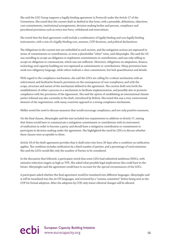She said the LDC Group supports a legally binding agreement (a Protocol) under the Article 17 of the Convention. She noted that the current draft in drafted in this form, with a preamble, definitions, objectives, core commitments, institutional arrangements, decision-making bodies and process, compliance and procedural provisions such as entry into force, withdrawal and reservations.

She noted that the final agreement could include a combination of legally binding and non-legally binding instruments, with a mix of a legally-binding core, annexes, COP decisions, and political declarations.

The obligations in the current text are embedded in each section, and the mitigation actions are expressed in terms of commitments or contributions, or even a placeholder "other" term, said Abeysinghe. She said the US was unwilling to accept an obligation to implement commitments or contributions, and was only willing to accept an obligation to communicate, which was not sufficient. Moreover, obligations on adaptation, finance, technology and capacity building are not expressed as commitments or contributions. Many provisions have weak non-obligatory language, while others indicate a clear commitment, but lack quantification and details.

With regard to the compliance mechanism, she said the LDCs are calling for a robust mechanism with an enforcement and facilitative branch; provisions on the consequences of non-compliance; and with the scope, structure and nature of the mechanism defined in the agreement. The current draft sets forth the establishment of either a process or a mechanism to facilitate implementation, and possibly also to promote compliance with the provisions of the Agreement. She said the option of establishing an international climate justice tribunal was also currently in the draft, introduced by Bolivia. She noted this was a very controversial element of the negotiations, with many countries opposed to a strong compliance mechanism.

Müller noted the need to discuss measures that would encourage compliance, and not only punitive measures.

On the final clauses, Abeysinghe said the text included two requirements in addition to Article 17, stating that States would have to communicate a mitigation commitment or contribution with its instrument of ratification in order to become a party; and should have a mitigation contribution or commitment to participate in decision-making under the agreement. She highlighted the need for LDCs to discuss whether these clauses were acceptable to them.

Article 18 of the draft agreement provides that it shall enter into force 30 days after a condition on ratification applies. The condition includes ratification by a fixed number of parties, and a percentage of total emissions. She said the LDCs would like only the number of Parties to be considered.

In the discussion that followed, a participant noted that some LDCs had submitted ambitious INDCs, with emission reduction targets as high as 70%. She asked what possible legal implications this could have in the future. Abeysinghe said the agreement would have to account for the special circumstances of the LDCs.

A participant asked whether the final agreement would be translated into different languages. Abeysinghe said it will be translated into the six UN languages, and reviewed by a "comma committee" before being sent to the COP for formal adoption. After the adoption by COP, only minor editorial changes will be allowed.

ecbi European Capacity Building Initiative<br>
12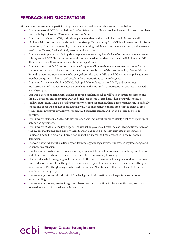### <span id="page-14-0"></span>**FEEDBACK AND SUGGESTIONS**

At the end of the Workshop, participants provided verbal feedback which is summarized below.

- This is my second COP. I attended the Pre-Cop Workshop in Lima as well and learnt a lot, and now I have the capability to look at different issues for the Group.
- This is my first time at a COP, and this helped me understand it. It will help me in future as well.
- I follow mitigation and work with the African Group. This is not my first COP but I benefitted a lot from the training. It was an opportunity to learn where things originate from, where we stand, and where we need to go. Thanks, I will definitely recommend it to others.
- This is a very important workshop that helped me increase my knowledge of terminology in particular. It is my second COP. This improved my skill and knowledge and thematic areas. I will follow the L&D discussions, and will communicate with other negotiators.
- This was a very insightful session that opened my eyes. Climate change is a very serious issue for my country, and we have to have a voice in the negotiations, be part of the process as key players. We have limited human resources and try to be everywhere, also with AOSIS and LDC membership. I was a onemember delegation in Bonn. I will circulate the presentations to my colleagues.
- This is my first time in the Pre-COP Workshop. I follow adaptation and L&D, and sometimes Workstream 2 and finance. This was an excellent workshop, and it's important to continue. I learned a lot – thank you.
- This was a very good and useful workshop for me, explaining what will be in the Paris agreement and the LDC position. This is my first COP and I felt lost before I came here. I hope you will continue.
- I follow adaptation. This is a good opportunity to share experience, thanks for organizing it. Specifically for me and those who do not speak English well, it is important to understand what is behind some words. It has improved my ability to understand thematic things, and I'm in a better position to negotiate.
- This is my first time in a COP, and this workshop was important for me to clarify a lot of the principles behind the agreement.
- This is my first COP as a Party delegate. The workshop gave me a better idea of LDC positions. Warsaw was my first COP and I didn't know where to go. It has been a dense day with lots of information to digest. I hope the report and presentations will be shared, so I can share it with the rest of my delegation.
- The workshop was useful, particularly on terminology and legal issues. It increased my knowledge and enhanced my capacity.
- Thanks you for inviting me it was very, very important for me. I follow capacity building and finance, and I hope I can continue to discuss over email etc. to improve my knowledge.
- I had no idea what I was going to do. I am new to the process so my chief delegate asked me to sit in at this workshop. Some of the things I had heard over the past few days started to make sense after your presentations. Can the glossary also be made in French? Next time it will be useful also to hear the positions of other groups.
- The workshop was useful and fruitful. The background information on all aspects is useful for our understanding.
- The workshop was very useful insightful. Thank you for conducting it. I follow mitigation, and look forward to sharing knowledge and information.

# ecbi European Capacity Building Initiative<br>
13